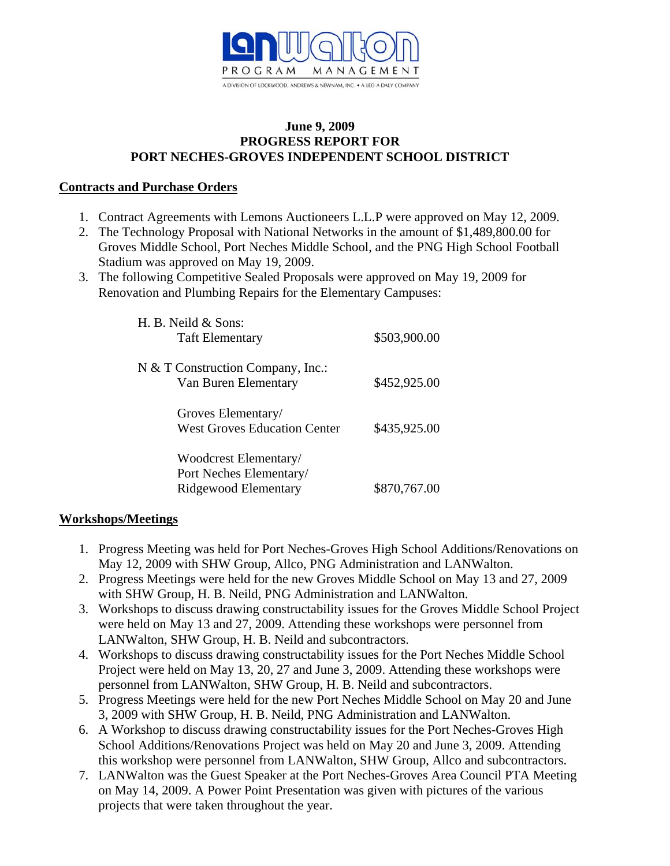

#### **June 9, 2009 PROGRESS REPORT FOR PORT NECHES-GROVES INDEPENDENT SCHOOL DISTRICT**

## **Contracts and Purchase Orders**

- 1. Contract Agreements with Lemons Auctioneers L.L.P were approved on May 12, 2009.
- 2. The Technology Proposal with National Networks in the amount of \$1,489,800.00 for Groves Middle School, Port Neches Middle School, and the PNG High School Football Stadium was approved on May 19, 2009.
- 3. The following Competitive Sealed Proposals were approved on May 19, 2009 for Renovation and Plumbing Repairs for the Elementary Campuses:

| H. B. Neild & Sons:<br><b>Taft Elementary</b>                            | \$503,900.00 |
|--------------------------------------------------------------------------|--------------|
| N & T Construction Company, Inc.:<br>Van Buren Elementary                | \$452,925.00 |
| Groves Elementary/<br><b>West Groves Education Center</b>                | \$435,925.00 |
| Woodcrest Elementary/<br>Port Neches Elementary/<br>Ridgewood Elementary | \$870,767.00 |

# **Workshops/Meetings**

- 1. Progress Meeting was held for Port Neches-Groves High School Additions/Renovations on May 12, 2009 with SHW Group, Allco, PNG Administration and LANWalton.
- 2. Progress Meetings were held for the new Groves Middle School on May 13 and 27, 2009 with SHW Group, H. B. Neild, PNG Administration and LANWalton.
- 3. Workshops to discuss drawing constructability issues for the Groves Middle School Project were held on May 13 and 27, 2009. Attending these workshops were personnel from LANWalton, SHW Group, H. B. Neild and subcontractors.
- 4. Workshops to discuss drawing constructability issues for the Port Neches Middle School Project were held on May 13, 20, 27 and June 3, 2009. Attending these workshops were personnel from LANWalton, SHW Group, H. B. Neild and subcontractors.
- 5. Progress Meetings were held for the new Port Neches Middle School on May 20 and June 3, 2009 with SHW Group, H. B. Neild, PNG Administration and LANWalton.
- 6. A Workshop to discuss drawing constructability issues for the Port Neches-Groves High School Additions/Renovations Project was held on May 20 and June 3, 2009. Attending this workshop were personnel from LANWalton, SHW Group, Allco and subcontractors.
- 7. LANWalton was the Guest Speaker at the Port Neches-Groves Area Council PTA Meeting on May 14, 2009. A Power Point Presentation was given with pictures of the various projects that were taken throughout the year.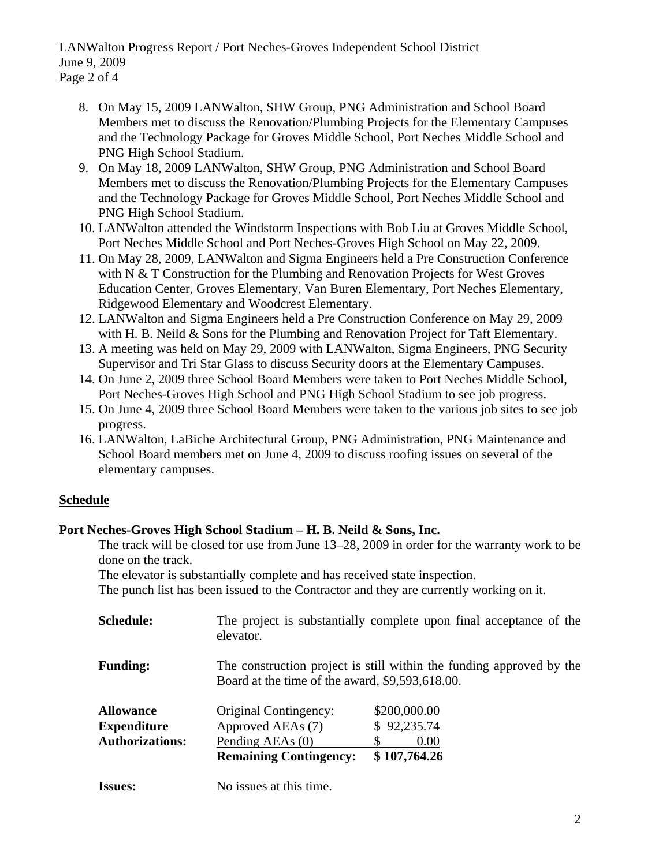LANWalton Progress Report / Port Neches-Groves Independent School District June 9, 2009

- Page 2 of 4
	- 8. On May 15, 2009 LANWalton, SHW Group, PNG Administration and School Board Members met to discuss the Renovation/Plumbing Projects for the Elementary Campuses and the Technology Package for Groves Middle School, Port Neches Middle School and PNG High School Stadium.
	- 9. On May 18, 2009 LANWalton, SHW Group, PNG Administration and School Board Members met to discuss the Renovation/Plumbing Projects for the Elementary Campuses and the Technology Package for Groves Middle School, Port Neches Middle School and PNG High School Stadium.
	- 10. LANWalton attended the Windstorm Inspections with Bob Liu at Groves Middle School, Port Neches Middle School and Port Neches-Groves High School on May 22, 2009.
	- 11. On May 28, 2009, LANWalton and Sigma Engineers held a Pre Construction Conference with N & T Construction for the Plumbing and Renovation Projects for West Groves Education Center, Groves Elementary, Van Buren Elementary, Port Neches Elementary, Ridgewood Elementary and Woodcrest Elementary.
	- 12. LANWalton and Sigma Engineers held a Pre Construction Conference on May 29, 2009 with H. B. Neild & Sons for the Plumbing and Renovation Project for Taft Elementary.
	- 13. A meeting was held on May 29, 2009 with LANWalton, Sigma Engineers, PNG Security Supervisor and Tri Star Glass to discuss Security doors at the Elementary Campuses.
	- 14. On June 2, 2009 three School Board Members were taken to Port Neches Middle School, Port Neches-Groves High School and PNG High School Stadium to see job progress.
	- 15. On June 4, 2009 three School Board Members were taken to the various job sites to see job progress.
	- 16. LANWalton, LaBiche Architectural Group, PNG Administration, PNG Maintenance and School Board members met on June 4, 2009 to discuss roofing issues on several of the elementary campuses.

# **Schedule**

# **Port Neches-Groves High School Stadium – H. B. Neild & Sons, Inc.**

The track will be closed for use from June 13–28, 2009 in order for the warranty work to be done on the track.

The elevator is substantially complete and has received state inspection.

The punch list has been issued to the Contractor and they are currently working on it.

| <b>Schedule:</b>       | elevator.                                                                                                               | The project is substantially complete upon final acceptance of the |  |
|------------------------|-------------------------------------------------------------------------------------------------------------------------|--------------------------------------------------------------------|--|
| <b>Funding:</b>        | The construction project is still within the funding approved by the<br>Board at the time of the award, \$9,593,618.00. |                                                                    |  |
| <b>Allowance</b>       | Original Contingency:                                                                                                   | \$200,000.00                                                       |  |
| <b>Expenditure</b>     | Approved AEAs (7)                                                                                                       | \$92,235.74                                                        |  |
| <b>Authorizations:</b> | Pending AEAs (0)                                                                                                        | 0.00                                                               |  |
|                        | <b>Remaining Contingency:</b>                                                                                           | \$107,764.26                                                       |  |
| <b>Issues:</b>         | No issues at this time.                                                                                                 |                                                                    |  |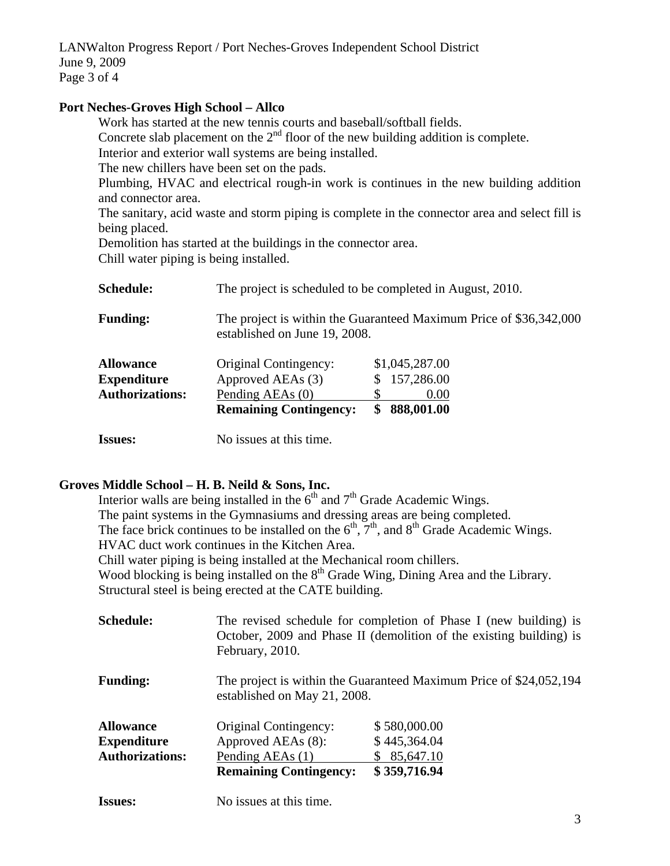LANWalton Progress Report / Port Neches-Groves Independent School District June 9, 2009 Page 3 of 4

### **Port Neches-Groves High School – Allco**

Work has started at the new tennis courts and baseball/softball fields. Concrete slab placement on the  $2<sup>nd</sup>$  floor of the new building addition is complete. Interior and exterior wall systems are being installed. The new chillers have been set on the pads. Plumbing, HVAC and electrical rough-in work is continues in the new building addition and connector area. The sanitary, acid waste and storm piping is complete in the connector area and select fill is being placed. Demolition has started at the buildings in the connector area. Chill water piping is being installed. **Schedule:** The project is scheduled to be completed in August, 2010. **Funding:** The project is within the Guaranteed Maximum Price of \$36,342,000 established on June 19, 2008. **Allowance** Original Contingency: \$1,045,287.00

|                        | <b>Remaining Contingency:</b> | \$888,001.00   |
|------------------------|-------------------------------|----------------|
| <b>Authorizations:</b> | Pending AEAs (0)              | 0.00           |
| Expenditure            | Approved AEAs (3)             | \$157,286.00   |
| <b>Allowance</b>       | Original Contingency:         | \$1,045,287.00 |

**Issues:** No issues at this time.

# **Groves Middle School – H. B. Neild & Sons, Inc.**

Interior walls are being installed in the  $6<sup>th</sup>$  and  $7<sup>th</sup>$  Grade Academic Wings. The paint systems in the Gymnasiums and dressing areas are being completed. The face brick continues to be installed on the  $6<sup>th</sup>$ ,  $7<sup>th</sup>$ , and  $8<sup>th</sup>$  Grade Academic Wings. HVAC duct work continues in the Kitchen Area. Chill water piping is being installed at the Mechanical room chillers. Wood blocking is being installed on the 8<sup>th</sup> Grade Wing, Dining Area and the Library. Structural steel is being erected at the CATE building. **Schedule:** The revised schedule for completion of Phase I (new building) is October, 2009 and Phase II (demolition of the existing building) is February, 2010.

| <b>Funding:</b> | The project is within the Guaranteed Maximum Price of \$24,052,194 |
|-----------------|--------------------------------------------------------------------|
|                 | established on May 21, 2008.                                       |

| <b>Allowance</b>       | Original Contingency:         | \$580,000.00 |
|------------------------|-------------------------------|--------------|
| <b>Expenditure</b>     | Approved AEAs (8):            | \$445,364.04 |
| <b>Authorizations:</b> | Pending AEAs (1)              | \$85,647.10  |
|                        | <b>Remaining Contingency:</b> | \$359,716.94 |

**Issues:** No issues at this time.